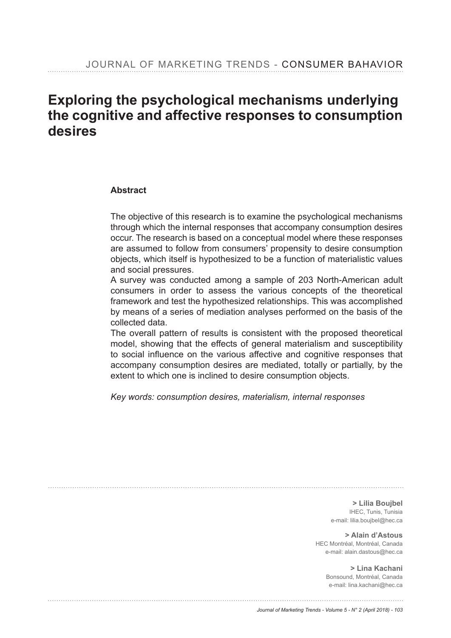# Exploring the psychological mechanisms underlying **the cognitive and affective responses to consumption desires**

#### **Abstract**

The objective of this research is to examine the psychological mechanisms through which the internal responses that accompany consumption desires occur. The research is based on a conceptual model where these responses are assumed to follow from consumers' propensity to desire consumption objects, which itself is hypothesized to be a function of materialistic values and social pressures.

A survey was conducted among a sample of 203 North-American adult consumers in order to assess the various concepts of the theoretical framework and test the hypothesized relationships. This was accomplished by means of a series of mediation analyses performed on the basis of the collected data.

The overall pattern of results is consistent with the proposed theoretical model, showing that the effects of general materialism and susceptibility to social influence on the various affective and cognitive responses that accompany consumption desires are mediated, totally or partially, by the extent to which one is inclined to desire consumption objects.

*Key words: consumption desires, materialism, internal responses*

**> Lilia Boujbel** IHEC, Tunis, Tunisia e-mail: lilia.boujbel@hec.ca

**> Alain d'Astous** HEC Montréal, Montréal, Canada e-mail: alain.dastous@hec.ca

> **> Lina Kachani** Bonsound, Montréal, Canada e-mail: lina.kachani@hec.ca

*Journal of Marketing Trends - Volume 5 - N° 2 (April 2018) - 103*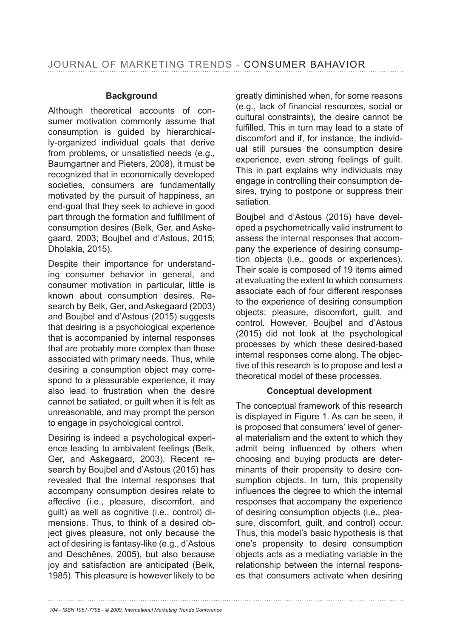#### **Background**

Although theoretical accounts of consumer motivation commonly assume that consumption is guided by hierarchically-organized individual goals that derive from problems, or unsatisfied needs (e.g., Baumgartner and Pieters, 2008), it must be recognized that in economically developed societies, consumers are fundamentally motivated by the pursuit of happiness, an end-goal that they seek to achieve in good part through the formation and fulfillment of consumption desires (Belk, Ger, and Askegaard, 2003; Boujbel and d'Astous, 2015; Dholakia, 2015).

Despite their importance for understanding consumer behavior in general, and consumer motivation in particular, little is known about consumption desires. Research by Belk, Ger, and Askegaard (2003) and Boujbel and d'Astous (2015) suggests that desiring is a psychological experience that is accompanied by internal responses that are probably more complex than those associated with primary needs. Thus, while desiring a consumption object may correspond to a pleasurable experience, it may also lead to frustration when the desire cannot be satiated, or guilt when it is felt as unreasonable, and may prompt the person to engage in psychological control.

Desiring is indeed a psychological experience leading to ambivalent feelings (Belk, Ger, and Askegaard, 2003). Recent research by Boujbel and d'Astous (2015) has revealed that the internal responses that accompany consumption desires relate to affective (i.e., pleasure, discomfort, and guilt) as well as cognitive (i.e., control) dimensions. Thus, to think of a desired object gives pleasure, not only because the act of desiring is fantasy-like (e.g., d'Astous and Deschênes, 2005), but also because joy and satisfaction are anticipated (Belk, 1985). This pleasure is however likely to be greatly diminished when, for some reasons (e.g., lack of financial resources, social or cultural constraints), the desire cannot be fulfilled. This in turn may lead to a state of discomfort and if, for instance, the individual still pursues the consumption desire experience, even strong feelings of guilt. This in part explains why individuals may engage in controlling their consumption desires, trying to postpone or suppress their satiation.

Boujbel and d'Astous (2015) have developed a psychometrically valid instrument to assess the internal responses that accompany the experience of desiring consumption objects (i.e., goods or experiences). Their scale is composed of 19 items aimed at evaluating the extent to which consumers associate each of four different responses to the experience of desiring consumption objects: pleasure, discomfort, guilt, and control. However, Boujbel and d'Astous (2015) did not look at the psychological processes by which these desired-based internal responses come along. The objective of this research is to propose and test a theoretical model of these processes.

# **Conceptual development**

The conceptual framework of this research is displayed in Figure 1. As can be seen, it is proposed that consumers' level of general materialism and the extent to which they admit being influenced by others when choosing and buying products are determinants of their propensity to desire consumption objects. In turn, this propensity influences the degree to which the internal responses that accompany the experience of desiring consumption objects (i.e., pleasure, discomfort, guilt, and control) occur. Thus, this model's basic hypothesis is that one's propensity to desire consumption objects acts as a mediating variable in the relationship between the internal responses that consumers activate when desiring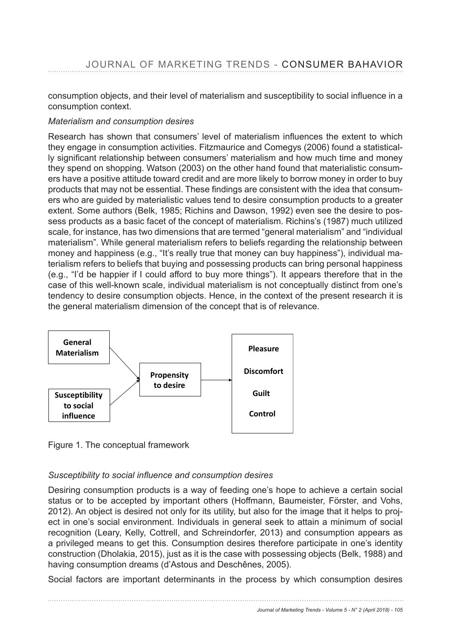consumption objects, and their level of materialism and susceptibility to social influence in a consumption context.

# *Materialism and consumption desires*

Research has shown that consumers' level of materialism influences the extent to which they engage in consumption activities. Fitzmaurice and Comegys (2006) found a statistical-Iy significant relationship between consumers' materialism and how much time and money they spend on shopping. Watson (2003) on the other hand found that materialistic consumers have a positive attitude toward credit and are more likely to borrow money in order to buy products that may not be essential. These findings are consistent with the idea that consumers who are guided by materialistic values tend to desire consumption products to a greater extent. Some authors (Belk, 1985; Richins and Dawson, 1992) even see the desire to possess products as a basic facet of the concept of materialism. Richins's (1987) much utilized scale, for instance, has two dimensions that are termed "general materialism" and "individual materialism". While general materialism refers to beliefs regarding the relationship between money and happiness (e.g., "It's really true that money can buy happiness"), individual materialism refers to beliefs that buying and possessing products can bring personal happiness (e.g., "I'd be happier if I could afford to buy more things"). It appears therefore that in the case of this well-known scale, individual materialism is not conceptually distinct from one's tendency to desire consumption objects. Hence, in the context of the present research it is the general materialism dimension of the concept that is of relevance.



Figure 1. The conceptual framework

# Susceptibility to social influence and consumption desires

Desiring consumption products is a way of feeding one's hope to achieve a certain social status or to be accepted by important others (Hoffmann, Baumeister, Förster, and Vohs, 2012). An object is desired not only for its utility, but also for the image that it helps to project in one's social environment. Individuals in general seek to attain a minimum of social recognition (Leary, Kelly, Cottrell, and Schreindorfer, 2013) and consumption appears as a privileged means to get this. Consumption desires therefore participate in one's identity construction (Dholakia, 2015), just as it is the case with possessing objects (Belk, 1988) and having consumption dreams (d'Astous and Deschênes, 2005).

Social factors are important determinants in the process by which consumption desires

*Journal of Marketing Trends - Volume 5 - N° 2 (April 2018) - 105*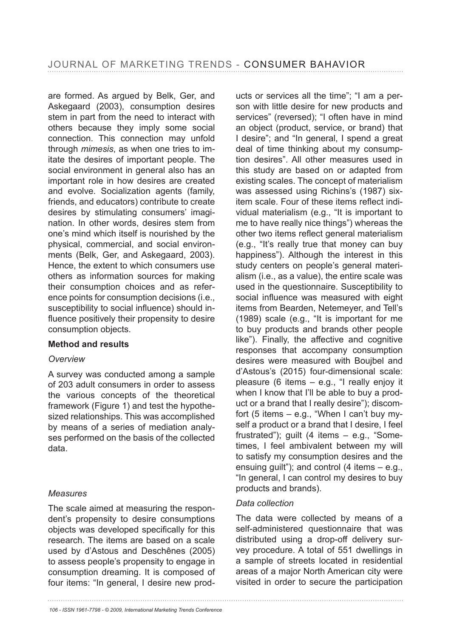are formed. As argued by Belk, Ger, and Askegaard (2003), consumption desires stem in part from the need to interact with others because they imply some social connection. This connection may unfold through *mimesis*, as when one tries to imitate the desires of important people. The social environment in general also has an important role in how desires are created and evolve. Socialization agents (family, friends, and educators) contribute to create desires by stimulating consumers' imagination. In other words, desires stem from one's mind which itself is nourished by the physical, commercial, and social environments (Belk, Ger, and Askegaard, 2003). Hence, the extent to which consumers use others as information sources for making their consumption choices and as reference points for consumption decisions (i.e., susceptibility to social influence) should influence positively their propensity to desire consumption objects.

#### **Method and results**

#### *Overview*

A survey was conducted among a sample of 203 adult consumers in order to assess the various concepts of the theoretical framework (Figure 1) and test the hypothesized relationships. This was accomplished by means of a series of mediation analyses performed on the basis of the collected data.

#### *Measures*

The scale aimed at measuring the respondent's propensity to desire consumptions objects was developed specifically for this research. The items are based on a scale used by d'Astous and Deschênes (2005) to assess people's propensity to engage in consumption dreaming. It is composed of four items: "In general, I desire new products or services all the time"; "I am a person with little desire for new products and services" (reversed); "I often have in mind an object (product, service, or brand) that I desire"; and "In general, I spend a great deal of time thinking about my consumption desires". All other measures used in this study are based on or adapted from existing scales. The concept of materialism was assessed using Richins's (1987) sixitem scale. Four of these items reflect individual materialism (e.g., "It is important to me to have really nice things") whereas the other two items reflect general materialism (e.g., "It's really true that money can buy happiness"). Although the interest in this study centers on people's general materialism (i.e., as a value), the entire scale was used in the questionnaire. Susceptibility to social influence was measured with eight items from Bearden, Netemeyer, and Tell's (1989) scale (e.g., "It is important for me to buy products and brands other people like"). Finally, the affective and cognitive responses that accompany consumption desires were measured with Boujbel and d'Astous's (2015) four-dimensional scale: pleasure (6 items – e.g., "I really enjoy it when I know that I'll be able to buy a product or a brand that I really desire"); discomfort (5 items  $-$  e.g., "When I can't buy myself a product or a brand that I desire, I feel frustrated"); guilt (4 items – e.g., "Sometimes, I feel ambivalent between my will to satisfy my consumption desires and the ensuing guilt"); and control  $(4$  items  $-$  e.g., "In general, I can control my desires to buy products and brands).

#### *Data collection*

The data were collected by means of a self-administered questionnaire that was distributed using a drop-off delivery survey procedure. A total of 551 dwellings in a sample of streets located in residential areas of a major North American city were visited in order to secure the participation

*106 - ISSN 1961-7798 - © 2009, International Marketing Trends Conference*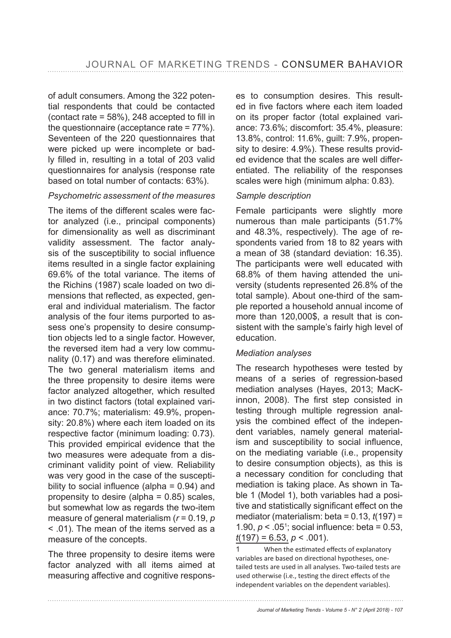of adult consumers. Among the 322 potential respondents that could be contacted (contact rate =  $58\%$ ). 248 accepted to fill in the questionnaire (acceptance rate =  $77\%$ ). Seventeen of the 220 questionnaires that were picked up were incomplete or badly filled in, resulting in a total of 203 valid questionnaires for analysis (response rate based on total number of contacts: 63%).

#### *Psychometric assessment of the measures*

The items of the different scales were factor analyzed (i.e., principal components) for dimensionality as well as discriminant validity assessment. The factor analysis of the susceptibility to social influence items resulted in a single factor explaining 69.6% of the total variance. The items of the Richins (1987) scale loaded on two dimensions that reflected, as expected, general and individual materialism. The factor analysis of the four items purported to assess one's propensity to desire consumption objects led to a single factor. However, the reversed item had a very low communality  $(0.17)$  and was therefore eliminated. The two general materialism items and the three propensity to desire items were factor analyzed altogether, which resulted in two distinct factors (total explained variance: 70.7%; materialism: 49.9%, propensity:  $20.8\%$ ) where each item loaded on its respective factor (minimum loading: 0.73). This provided empirical evidence that the two measures were adequate from a discriminant validity point of view. Reliability was very good in the case of the susceptibility to social influence (alpha =  $0.94$ ) and propensity to desire (alpha  $= 0.85$ ) scales, but somewhat low as regards the two-item measure of general materialism (*r* = 0.19, *p* < .01). The mean of the items served as a measure of the concepts.

The three propensity to desire items were factor analyzed with all items aimed at measuring affective and cognitive responses to consumption desires. This resulted in five factors where each item loaded on its proper factor (total explained variance: 73.6%; discomfort: 35.4%, pleasure: 13.8%, control: 11.6%, guilt: 7.9%, propensity to desire: 4.9%). These results provided evidence that the scales are well differentiated. The reliability of the responses scales were high (minimum alpha: 0.83).

#### *Sample description*

Female participants were slightly more numerous than male participants (51.7%) and  $48.3\%$ , respectively). The age of respondents varied from 18 to 82 years with a mean of 38 (standard deviation: 16.35). The participants were well educated with 68.8% of them having attended the university (students represented 26.8% of the total sample). About one-third of the sample reported a household annual income of more than 120,000\$, a result that is consistent with the sample's fairly high level of education.

#### *Mediation analyses*

The research hypotheses were tested by means of a series of regression-based mediation analyses (Hayes, 2013; MacKinnon, 2008). The first step consisted in testing through multiple regression analysis the combined effect of the independent variables, namely general materialism and susceptibility to social influence, on the mediating variable (i.e., propensity to desire consumption objects), as this is a necessary condition for concluding that mediation is taking place. As shown in Table 1 (Model 1), both variables had a positive and statistically significant effect on the mediator (materialism: beta = 0.13, *t* 1.90,  $p < .05$ <sup>1</sup>; social influence: beta = 0.53,  $t(197) = 6.53, p < .001$ ).

<sup>1</sup> When the estimated effects of explanatory variables are based on directional hypotheses, onetailed tests are used in all analyses. Two-tailed tests are used otherwise (i.e., testing the direct effects of the independent variables on the dependent variables).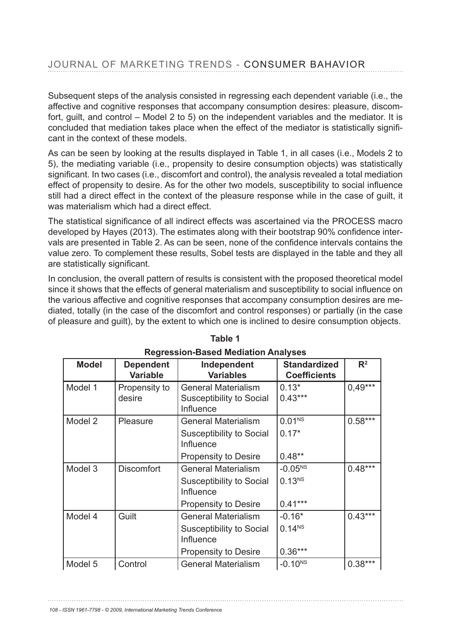Subsequent steps of the analysis consisted in regressing each dependent variable (i.e., the affective and cognitive responses that accompany consumption desires: pleasure, discomfort, guilt, and control – Model 2 to 5) on the independent variables and the mediator. It is concluded that mediation takes place when the effect of the mediator is statistically significant in the context of these models.

As can be seen by looking at the results displayed in Table 1, in all cases (i.e., Models 2 to 5), the mediating variable (i.e., propensity to desire consumption objects) was statistically significant. In two cases (i.e., discomfort and control), the analysis revealed a total mediation effect of propensity to desire. As for the other two models, susceptibility to social influence still had a direct effect in the context of the pleasure response while in the case of guilt, it was materialism which had a direct effect.

The statistical significance of all indirect effects was ascertained via the PROCESS macro developed by Hayes (2013). The estimates along with their bootstrap 90% confidence intervals are presented in Table 2. As can be seen, none of the confidence intervals contains the value zero. To complement these results, Sobel tests are displayed in the table and they all are statistically significant.

In conclusion, the overall pattern of results is consistent with the proposed theoretical model since it shows that the effects of general materialism and susceptibility to social influence on the various affective and cognitive responses that accompany consumption desires are mediated, totally (in the case of the discomfort and control responses) or partially (in the case of pleasure and guilt), by the extent to which one is inclined to desire consumption objects.

| <u>RGYLGGGIOLI-DUSCU MICULULULI AHUIVSCS</u> |                                     |                                 |                                            |                |  |  |
|----------------------------------------------|-------------------------------------|---------------------------------|--------------------------------------------|----------------|--|--|
| <b>Model</b>                                 | <b>Dependent</b><br><b>Variable</b> | Independent<br><b>Variables</b> | <b>Standardized</b><br><b>Coefficients</b> | $\mathbb{R}^2$ |  |  |
|                                              |                                     |                                 |                                            |                |  |  |
| Model 1                                      | Propensity to                       | <b>General Materialism</b>      | $0.13*$                                    | $0,49***$      |  |  |
|                                              | desire                              | Susceptibility to Social        | $0.43***$                                  |                |  |  |
|                                              |                                     | <b>Influence</b>                |                                            |                |  |  |
| Model 2                                      | Pleasure                            | <b>General Materialism</b>      | 0.01 <sup>NS</sup>                         | $0.58***$      |  |  |
|                                              |                                     | Susceptibility to Social        | $0.17*$                                    |                |  |  |
|                                              |                                     | Influence                       |                                            |                |  |  |
|                                              |                                     | <b>Propensity to Desire</b>     | $0.48**$                                   |                |  |  |
| Model 3                                      | <b>Discomfort</b>                   | <b>General Materialism</b>      | $-0.05^{NS}$                               | $0.48***$      |  |  |
|                                              |                                     | Susceptibility to Social        | 0.13 <sup>NS</sup>                         |                |  |  |
|                                              |                                     | Influence                       |                                            |                |  |  |
|                                              |                                     | <b>Propensity to Desire</b>     | $0.41***$                                  |                |  |  |
| Model 4                                      | Guilt                               | <b>General Materialism</b>      | $-0.16*$                                   | $0.43***$      |  |  |
|                                              |                                     | Susceptibility to Social        | 0.14 <sup>NS</sup>                         |                |  |  |
|                                              |                                     | Influence                       |                                            |                |  |  |
|                                              |                                     | <b>Propensity to Desire</b>     | $0.36***$                                  |                |  |  |
| Model 5                                      | Control                             | <b>General Materialism</b>      | $-0.10^{NS}$                               | $0.38***$      |  |  |

| Table 1                                    |
|--------------------------------------------|
| <b>Regression-Based Mediation Analyses</b> |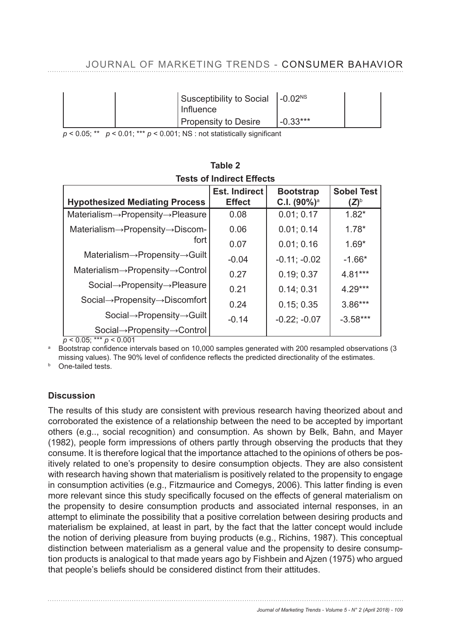| Susceptibility to Social  -0.02 <sup>NS</sup><br>Influence |            |  |
|------------------------------------------------------------|------------|--|
| <b>Propensity to Desire</b>                                | $-0.33***$ |  |

 $p$  < 0.05; \*\*  $p$  < 0.01; \*\*\*  $p$  < 0.001; NS : not statistically significant

| <b>Hypothesized Mediating Process</b>                       | <b>Est. Indirect</b><br><b>Effect</b> | <b>Bootstrap</b><br>C.I. $(90\%)^a$ | <b>Sobel Test</b><br>$({\sf Z}\hskip -3pt)^{\hskip -3pt\scriptscriptstyle\mathrm{D}}$ |  |  |  |
|-------------------------------------------------------------|---------------------------------------|-------------------------------------|---------------------------------------------------------------------------------------|--|--|--|
| Materialism $\rightarrow$ Propensity $\rightarrow$ Pleasure | 0.08                                  | 0.01; 0.17                          | $1.82*$                                                                               |  |  |  |
| Materialism->Propensity->Discom-                            | 0.06                                  | 0.01; 0.14                          | $1.78*$                                                                               |  |  |  |
| fort                                                        | 0.07                                  | 0.01; 0.16                          | $1.69*$                                                                               |  |  |  |
| Materialism $\rightarrow$ Propensity $\rightarrow$ Guilt    | $-0.04$                               | $-0.11; -0.02$                      | $-1.66*$                                                                              |  |  |  |
| $Materialism \rightarrow Propensity \rightarrow Control$    | 0.27                                  | 0.19; 0.37                          | $4.81***$                                                                             |  |  |  |
| Social→Propensity→Pleasure                                  | 0.21                                  | 0.14; 0.31                          | $4.29***$                                                                             |  |  |  |
| Social→Propensity→Discomfort                                | 0.24                                  | 0.15; 0.35                          | $3.86***$                                                                             |  |  |  |
| Social $\rightarrow$ Propensity $\rightarrow$ Guilt         | $-0.14$                               | $-0.22; -0.07$                      | $-3.58***$                                                                            |  |  |  |
| Social→Propensity→Control                                   |                                       |                                     |                                                                                       |  |  |  |

#### Table 2 **Tests of Indirect Effects**

 $p < 0.05$ ; \*\*\*  $p < 0.001$ 

<sup>a</sup> Bootstrap confidence intervals based on 10,000 samples generated with 200 resampled observations (3 missing values). The 90% level of confidence reflects the predicted directionality of the estimates.

**b** One-tailed tests.

# **Discussion**

The results of this study are consistent with previous research having theorized about and corroborated the existence of a relationship between the need to be accepted by important others (e.g.., social recognition) and consumption. As shown by Belk, Bahn, and Mayer (1982), people form impressions of others partly through observing the products that they consume. It is therefore logical that the importance attached to the opinions of others be positively related to one's propensity to desire consumption objects. They are also consistent with research having shown that materialism is positively related to the propensity to engage in consumption activities (e.g., Fitzmaurice and Comegys, 2006). This latter finding is even more relevant since this study specifically focused on the effects of general materialism on the propensity to desire consumption products and associated internal responses, in an attempt to eliminate the possibility that a positive correlation between desiring products and materialism be explained, at least in part, by the fact that the latter concept would include the notion of deriving pleasure from buying products (e.g., Richins, 1987). This conceptual distinction between materialism as a general value and the propensity to desire consumption products is analogical to that made years ago by Fishbein and Ajzen (1975) who argued that people's beliefs should be considered distinct from their attitudes.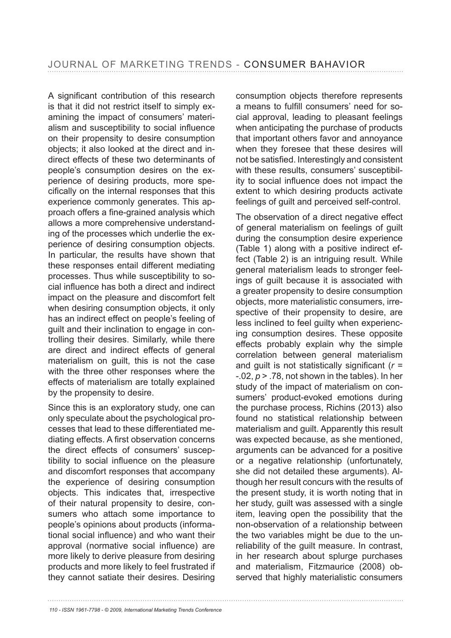A significant contribution of this research is that it did not restrict itself to simply examining the impact of consumers' materialism and susceptibility to social influence on their propensity to desire consumption objects; it also looked at the direct and indirect effects of these two determinants of people's consumption desires on the experience of desiring products, more specifically on the internal responses that this experience commonly generates. This approach offers a fine-grained analysis which allows a more comprehensive understanding of the processes which underlie the experience of desiring consumption objects. In particular, the results have shown that these responses entail different mediating processes. Thus while susceptibility to social influence has both a direct and indirect impact on the pleasure and discomfort felt when desiring consumption objects, it only has an indirect effect on people's feeling of guilt and their inclination to engage in controlling their desires. Similarly, while there are direct and indirect effects of general materialism on guilt, this is not the case with the three other responses where the effects of materialism are totally explained by the propensity to desire.

Since this is an exploratory study, one can only speculate about the psychological processes that lead to these differentiated mediating effects. A first observation concerns the direct effects of consumers' susceptibility to social influence on the pleasure and discomfort responses that accompany the experience of desiring consumption objects. This indicates that, irrespective of their natural propensity to desire, consumers who attach some importance to people's opinions about products (informational social influence) and who want their approval (normative social influence) are more likely to derive pleasure from desiring products and more likely to feel frustrated if they cannot satiate their desires. Desiring consumption objects therefore represents a means to fulfill consumers' need for social approval, leading to pleasant feelings when anticipating the purchase of products that important others favor and annoyance when they foresee that these desires will not be satisfied. Interestingly and consistent with these results, consumers' susceptibility to social influence does not impact the extent to which desiring products activate feelings of guilt and perceived self-control.

The observation of a direct negative effect of general materialism on feelings of guilt during the consumption desire experience (Table 1) along with a positive indirect effect (Table 2) is an intriguing result. While general materialism leads to stronger feelings of guilt because it is associated with a greater propensity to desire consumption objects, more materialistic consumers, irrespective of their propensity to desire, are less inclined to feel guilty when experiencing consumption desires. These opposite effects probably explain why the simple correlation between general materialism and quilt is not statistically significant  $(r =$  $-0.02$ ,  $p > 0.78$ , not shown in the tables). In her study of the impact of materialism on consumers' product-evoked emotions during the purchase process, Richins (2013) also found no statistical relationship between materialism and guilt. Apparently this result was expected because, as she mentioned, arguments can be advanced for a positive or a negative relationship (unfortunately, she did not detailed these arguments). Although her result concurs with the results of the present study, it is worth noting that in her study, guilt was assessed with a single item, leaving open the possibility that the non-observation of a relationship between the two variables might be due to the unreliability of the guilt measure. In contrast, in her research about splurge purchases and materialism, Fitzmaurice (2008) observed that highly materialistic consumers

*110 - ISSN 1961-7798 - © 2009, International Marketing Trends Conference*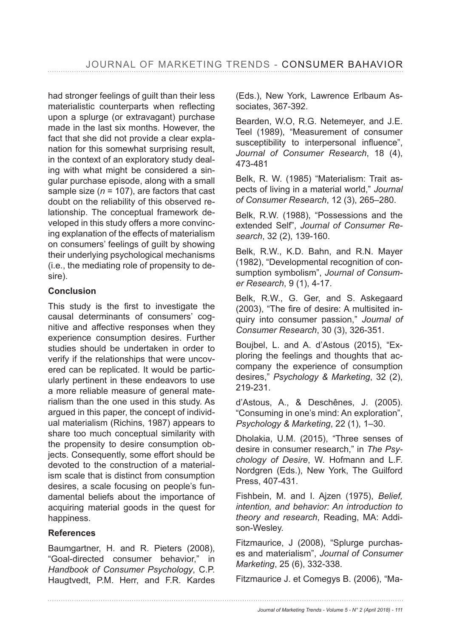had stronger feelings of guilt than their less materialistic counterparts when reflecting upon a splurge (or extravagant) purchase made in the last six months. However, the fact that she did not provide a clear explanation for this somewhat surprising result, in the context of an exploratory study dealing with what might be considered a singular purchase episode, along with a small sample size ( $n = 107$ ), are factors that cast doubt on the reliability of this observed relationship. The conceptual framework developed in this study offers a more convincing explanation of the effects of materialism on consumers' feelings of guilt by showing their underlying psychological mechanisms (i.e., the mediating role of propensity to desire).

#### **Conclusion**

This study is the first to investigate the causal determinants of consumers' cognitive and affective responses when they experience consumption desires. Further studies should be undertaken in order to verify if the relationships that were uncovered can be replicated. It would be particularly pertinent in these endeavors to use a more reliable measure of general materialism than the one used in this study. As argued in this paper, the concept of individual materialism (Richins, 1987) appears to share too much conceptual similarity with the propensity to desire consumption objects. Consequently, some effort should be devoted to the construction of a materialism scale that is distinct from consumption desires, a scale focusing on people's fundamental beliefs about the importance of acquiring material goods in the quest for happiness.

# **References**

Baumgartner, H. and R. Pieters (2008), "Goal-directed consumer behavior," in *Handbook of Consumer Psychology*, C.P. Haugtvedt, P.M. Herr, and F.R. Kardes (Eds.), New York, Lawrence Erlbaum Associates, 367-392.

Bearden, W.O, R.G. Netemeyer, and J.E. Teel (1989), "Measurement of consumer susceptibility to interpersonal influence", *Journal of Consumer Research*, 18 (4), 473-481

Belk, R. W. (1985) "Materialism: Trait aspects of living in a material world," *Journal of Consumer Research*, 12 (3), 265–280.

Belk, R.W. (1988), "Possessions and the extended Self", *Journal of Consumer Research*, 32 (2), 139-160.

Belk, R.W., K.D. Bahn, and R.N. Mayer (1982), "Developmental recognition of consumption symbolism", *Journal of Consumer Research* 

Belk, R.W., G. Ger, and S. Askegaard (2003), "The fire of desire: A multisited inquiry into consumer passion," *Journal of Consumer Research*, 30 (3), 326-351.

Boujbel, L. and A. d'Astous (2015), "Exploring the feelings and thoughts that accompany the experience of consumption desires," *Psychology & Marketing*, 32 (2), 219-231.

d'Astous, A., & Deschênes, J. (2005). "Consuming in one's mind: An exploration", *Psychology & Marketing*, 22 (1), 1–30.

Dholakia, U.M. (2015), "Three senses of desire in consumer research," in *The Psychology of Desire*, W. Hofmann and L.F. Nordgren (Eds.), New York, The Guilford Press, 407-431.

Fishbein, M. and I. Aizen (1975), Belief, *intention, and behavior: An introduction to theory and research*, Reading, MA: Addison-Wesley.

Fitzmaurice, J (2008), "Splurge purchases and materialism", *Journal of Consumer Marketing*, 25 (6), 332-338.

Fitzmaurice J. et Comegys B. (2006), "Ma-